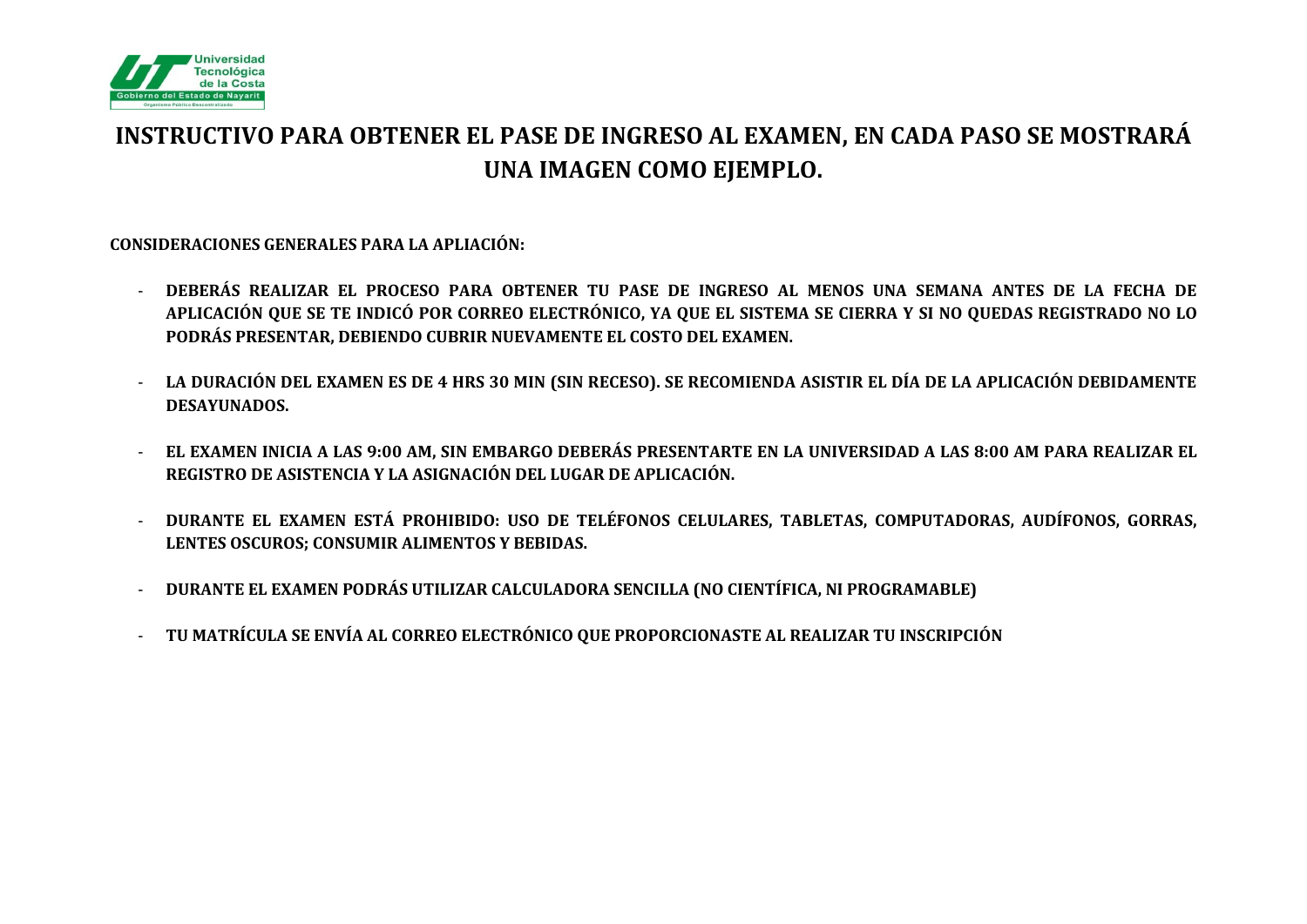

# **INSTRUCTIVO PARA OBTENER EL PASE DE INGRESO AL EXAMEN, EN CADA PASO SE MOSTRARÁ UNA IMAGEN COMO EJEMPLO.**

**CONSIDERACIONES GENERALES PARA LA APLIACIÓN:**

- **DEBERÁS REALIZAR EL PROCESO PARA OBTENER TU PASE DE INGRESO AL MENOS UNA SEMANA ANTES DE LA FECHA DE APLICACIÓN QUE SE TE INDICÓ POR CORREO ELECTRÓNICO, YA QUE EL SISTEMA SE CIERRA Y SI NO QUEDAS REGISTRADO NO LO PODRÁS PRESENTAR, DEBIENDO CUBRIR NUEVAMENTE EL COSTO DEL EXAMEN.**
- **LA DURACIÓN DEL EXAMEN ES DE 4 HRS 30 MIN (SIN RECESO). SE RECOMIENDA ASISTIR EL DÍA DE LA APLICACIÓN DEBIDAMENTE DESAYUNADOS.**
- **EL EXAMEN INICIA A LAS 9:00 AM, SIN EMBARGO DEBERÁS PRESENTARTE EN LA UNIVERSIDAD A LAS 8:00 AM PARA REALIZAR EL REGISTRO DE ASISTENCIA Y LA ASIGNACIÓN DEL LUGAR DE APLICACIÓN.**
- **DURANTE EL EXAMEN ESTÁ PROHIBIDO: USO DE TELÉFONOS CELULARES, TABLETAS, COMPUTADORAS, AUDÍFONOS, GORRAS, LENTES OSCUROS; CONSUMIR ALIMENTOS Y BEBIDAS.**
- **DURANTE EL EXAMEN PODRÁS UTILIZAR CALCULADORA SENCILLA (NO CIENTÍFICA, NI PROGRAMABLE)**
- **TU MATRÍCULA SE ENVÍA AL CORREO ELECTRÓNICO QUE PROPORCIONASTE AL REALIZAR TU INSCRIPCIÓN**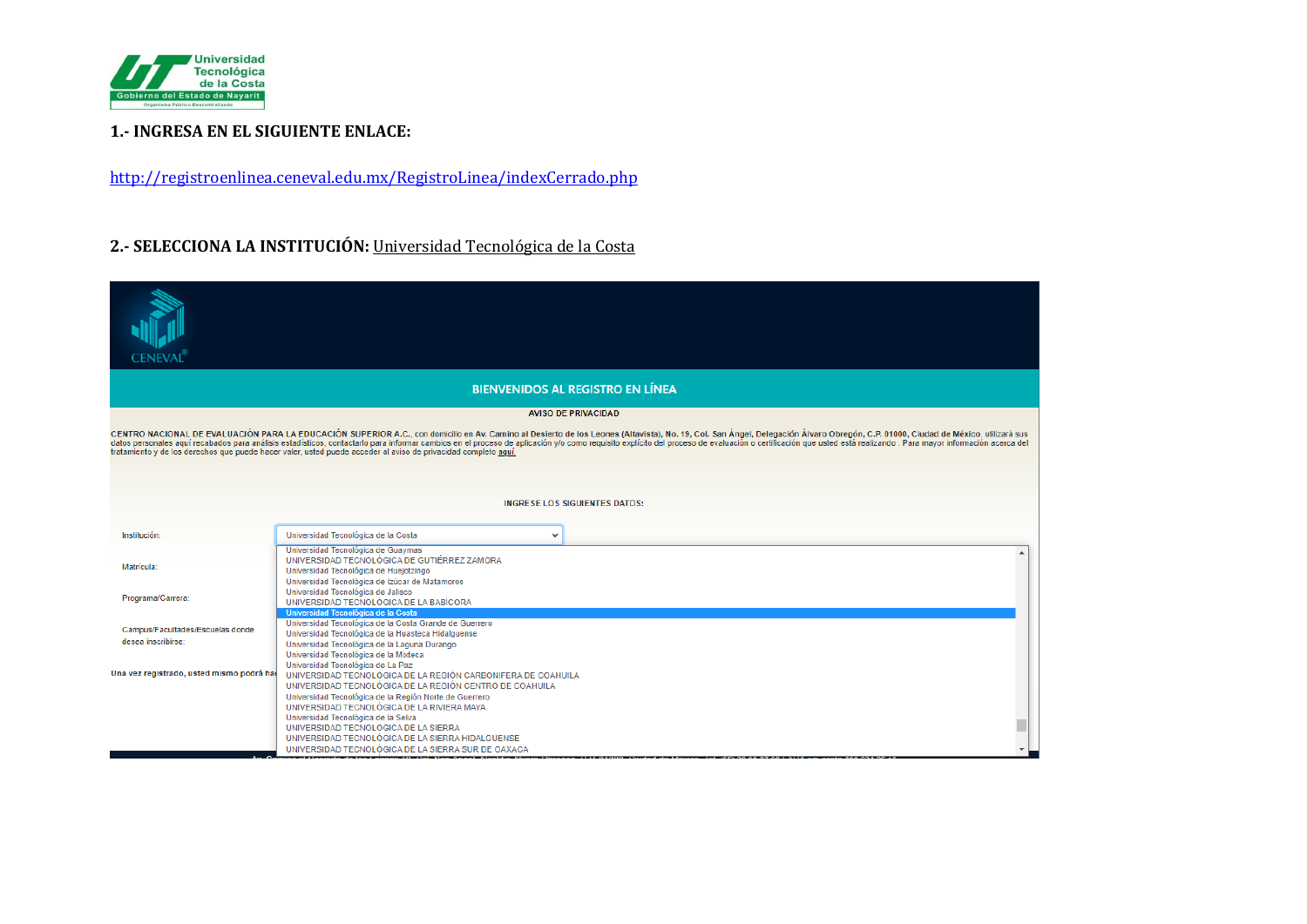

### **1.- INGRESA EN EL SIGUIENTE ENLACE:**

<http://registroenlinea.ceneval.edu.mx/RegistroLinea/indexCerrado.php>

## **2.- SELECCIONA LA INSTITUCIÓN:** Universidad Tecnológica de la Costa

|                                                                                                                                                                                                                                                                                                                                                                                                                                                                                                                                                                                    |                                                                                                                                                                                                                                                                                               | <b>BIENVENIDOS AL REGISTRO EN LÍNEA</b> |
|------------------------------------------------------------------------------------------------------------------------------------------------------------------------------------------------------------------------------------------------------------------------------------------------------------------------------------------------------------------------------------------------------------------------------------------------------------------------------------------------------------------------------------------------------------------------------------|-----------------------------------------------------------------------------------------------------------------------------------------------------------------------------------------------------------------------------------------------------------------------------------------------|-----------------------------------------|
|                                                                                                                                                                                                                                                                                                                                                                                                                                                                                                                                                                                    |                                                                                                                                                                                                                                                                                               | <b>AVISO DE PRIVACIDAD</b>              |
| CENTRO NACIONAL DE EVALUACIÓN PARA LA EDUCACIÓN SUPERIOR A.C., con domicilio en Av. Camino al Desierto de los Leones (Altavista), No. 19, Col. San Ángel, Delegación Álvaro Obregón, C.P. 01000, Ciudad de México, utilizará s<br>datos personales aquí recabados para análisis estadísticos, contactarlo para informar cambios en el proceso de aplicación y/o como requisito explícito del proceso de evaluación o certificación que usted está realizando. Pa<br>tratamiento y de los derechos que puede hacer valer, usted puede acceder al aviso de privacidad completo aquí, |                                                                                                                                                                                                                                                                                               |                                         |
|                                                                                                                                                                                                                                                                                                                                                                                                                                                                                                                                                                                    |                                                                                                                                                                                                                                                                                               | <b>INGRESE LOS SIGUIENTES DATOS:</b>    |
|                                                                                                                                                                                                                                                                                                                                                                                                                                                                                                                                                                                    |                                                                                                                                                                                                                                                                                               |                                         |
| Institución:                                                                                                                                                                                                                                                                                                                                                                                                                                                                                                                                                                       | Universidad Tecnológica de la Costa<br>$\checkmark$                                                                                                                                                                                                                                           |                                         |
| Matrícula:                                                                                                                                                                                                                                                                                                                                                                                                                                                                                                                                                                         | Universidad Tecnológica de Guaymas<br>UNIVERSIDAD TECNOLÓGICA DE GUTIÉRREZ ZAMORA<br>Universidad Tecnológica de Huejotzingo<br>Universidad Tecnológica de Izúcar de Matamoros                                                                                                                 |                                         |
| Programa/Carrera:                                                                                                                                                                                                                                                                                                                                                                                                                                                                                                                                                                  | Universidad Tecnológica de Jalisco<br>UNIVERSIDAD TECNOLÓGICA DE LA BABÍCORA<br>Universidad Tecnológica de la Costa                                                                                                                                                                           |                                         |
| Campus/Facultades/Escuelas donde<br>desea inscribirse:                                                                                                                                                                                                                                                                                                                                                                                                                                                                                                                             | Universidad Tecnológica de la Costa Grande de Guerrero<br>Universidad Tecnológica de la Huasteca Hidalguense<br>Universidad Tecnológica de la Laguna Durango<br>Universidad Tecnológica de la Mixteca                                                                                         |                                         |
| Una vez registrado, usted mismo podrá ha                                                                                                                                                                                                                                                                                                                                                                                                                                                                                                                                           | Universidad Tecnológica de La Paz<br>UNIVERSIDAD TECNOLÓGICA DE LA REGIÓN CARBONIFERA DE COAHUILA<br>UNIVERSIDAD TECNOLÓGICA DE LA REGIÓN CENTRO DE COAHUILA                                                                                                                                  |                                         |
|                                                                                                                                                                                                                                                                                                                                                                                                                                                                                                                                                                                    | Universidad Tecnológica de la Región Norte de Guerrero<br>UNIVERSIDAD TECNOLÓGICA DE LA RIVIERA MAYA<br>Universidad Tecnológica de la Selva<br>UNIVERSIDAD TECNOLOGICA DE LA SIERRA<br>UNIVERSIDAD TECNOLÓGICA DE LA SIERRA HIDALGUENSE<br>UNIVERSIDAD TECNOLÓGICA DE LA SIERRA SUR DE OAXACA |                                         |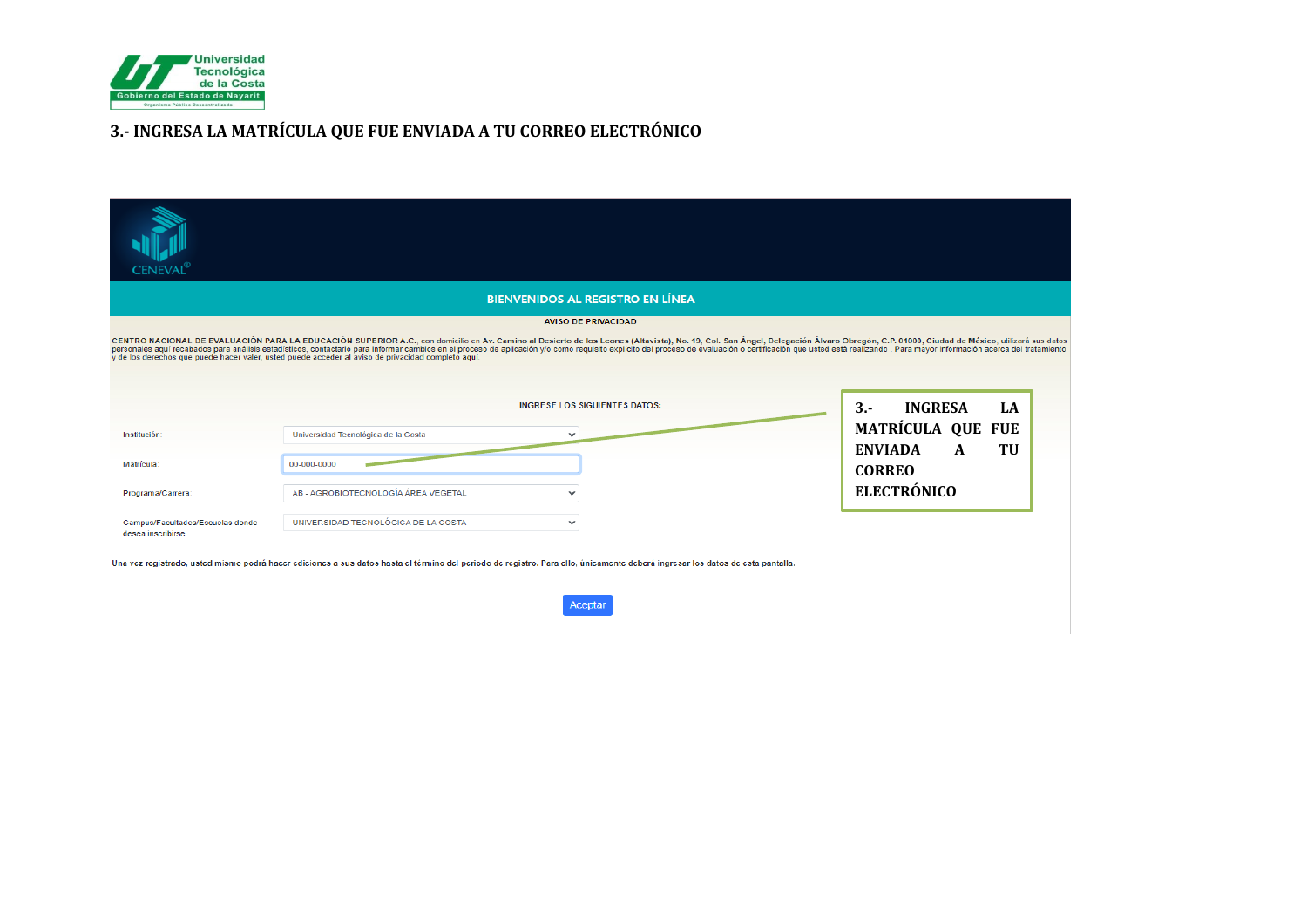

## **3.- INGRESA LA MATRÍCULA QUE FUE ENVIADA A TU CORREO ELECTRÓNICO**

| <b>CENEVAL</b>                                         |                                                                                                                                                                                                                                                                                                                                                                                                                                                                                                                                                                        |                                         |                                            |
|--------------------------------------------------------|------------------------------------------------------------------------------------------------------------------------------------------------------------------------------------------------------------------------------------------------------------------------------------------------------------------------------------------------------------------------------------------------------------------------------------------------------------------------------------------------------------------------------------------------------------------------|-----------------------------------------|--------------------------------------------|
|                                                        |                                                                                                                                                                                                                                                                                                                                                                                                                                                                                                                                                                        | <b>BIENVENIDOS AL REGISTRO EN LÍNEA</b> |                                            |
|                                                        | CENTRO NACIONAL DE EVALUACIÓN PARA LA EDUCACIÓN SUPERIOR A.C., con domicilio en Av. Camino al Desierto de los Leones (Altavista), No. 19, Col. San Ángel, Delegación Álvaro Obregón, C.P. 01000, Ciudad de México, utilizará s<br>personales aquí recabados para análisis estadísticos, contactarlo para informar cambios en el proceso de aplicación y/o como requisito explícito del proceso de evaluación o certificación que usted está realizando. Para may<br>y de los derechos que puede hacer valer, usted puede acceder al aviso de privacidad completo aquí. | <b>AVISO DE PRIVACIDAD</b>              |                                            |
|                                                        |                                                                                                                                                                                                                                                                                                                                                                                                                                                                                                                                                                        | <b>INGRESE LOS SIGUIENTES DATOS:</b>    | <b>INGRESA</b><br>$3 -$<br>LA              |
| Institución:                                           | Universidad Tecnológica de la Costa<br>$\checkmark$                                                                                                                                                                                                                                                                                                                                                                                                                                                                                                                    |                                         | <b>MATRÍCULA QUE FUE</b>                   |
| Matrícula:                                             | 00-000-0000                                                                                                                                                                                                                                                                                                                                                                                                                                                                                                                                                            |                                         | <b>ENVIADA</b><br>TU<br>A<br><b>CORREO</b> |
| Programa/Carrera:                                      | AB - AGROBIOTECNOLOGÍA ÁREA VEGETAL<br>$\check{ }$                                                                                                                                                                                                                                                                                                                                                                                                                                                                                                                     |                                         | <b>ELECTRÓNICO</b>                         |
| Campus/Facultades/Escuelas donde<br>desea inscribirse: | UNIVERSIDAD TECNOLÓGICA DE LA COSTA<br>$\checkmark$                                                                                                                                                                                                                                                                                                                                                                                                                                                                                                                    |                                         |                                            |
|                                                        | Una vez registrado, usted mismo podrá hacer ediciones a sus datos hasta el término del periodo de registro. Para ello, únicamente deberá ingresar los datos de esta pantalla.                                                                                                                                                                                                                                                                                                                                                                                          |                                         |                                            |
|                                                        |                                                                                                                                                                                                                                                                                                                                                                                                                                                                                                                                                                        | Aceptar                                 |                                            |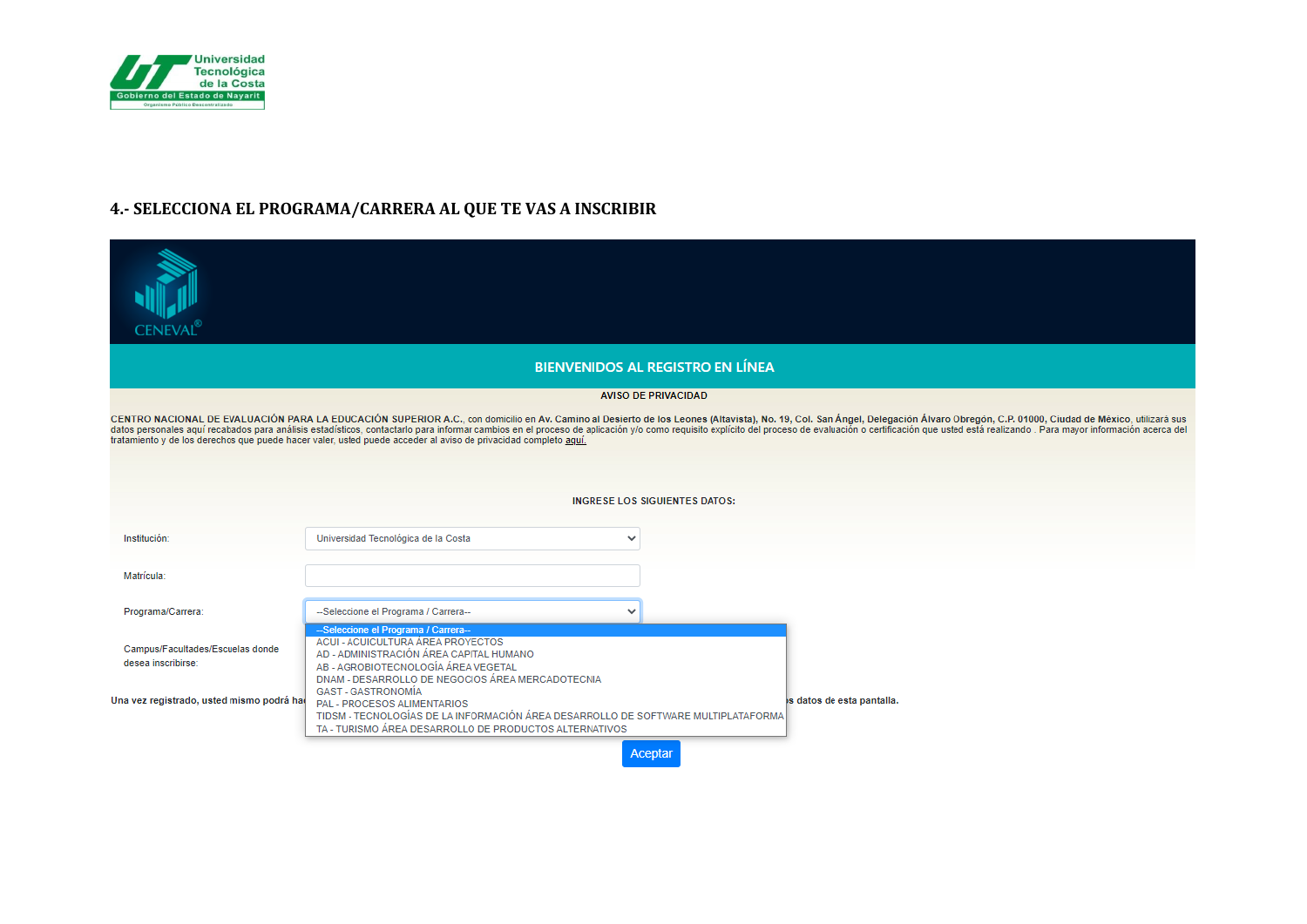

## 4.- SELECCIONA EL PROGRAMA/CARRERA AL QUE TE VAS A INSCRIBIR

| Ceneval                                                                                                                                                                                                                                                                                                                                          |                                                                                                                                                                                                                                              |  |
|--------------------------------------------------------------------------------------------------------------------------------------------------------------------------------------------------------------------------------------------------------------------------------------------------------------------------------------------------|----------------------------------------------------------------------------------------------------------------------------------------------------------------------------------------------------------------------------------------------|--|
|                                                                                                                                                                                                                                                                                                                                                  | <b>BIENVENIDOS AL REGISTRO EN LÍNEA</b>                                                                                                                                                                                                      |  |
|                                                                                                                                                                                                                                                                                                                                                  | <b>AVISO DE PRIVACIDAD</b>                                                                                                                                                                                                                   |  |
| CENTRO NACIONAL DE EVALUACIÓN PARA LA EDUCACIÓN SUPERIOR A.C., con domicilio en Av. Camino al Desierto de los Leones (Altavista), No. 19, Col. San Ángel, Delegación Álvaro Obregón, C.P. 01000, Ciudad de México, utilizará s<br>tratamiento y de los derechos que puede hacer valer, usted puede acceder al aviso de privacidad completo aquí. |                                                                                                                                                                                                                                              |  |
|                                                                                                                                                                                                                                                                                                                                                  |                                                                                                                                                                                                                                              |  |
|                                                                                                                                                                                                                                                                                                                                                  |                                                                                                                                                                                                                                              |  |
|                                                                                                                                                                                                                                                                                                                                                  | <b>INGRESE LOS SIGUIENTES DATOS:</b>                                                                                                                                                                                                         |  |
| Institución:                                                                                                                                                                                                                                                                                                                                     | Universidad Tecnológica de la Costa<br>$\checkmark$                                                                                                                                                                                          |  |
| Matrícula:                                                                                                                                                                                                                                                                                                                                       |                                                                                                                                                                                                                                              |  |
| Programa/Carrera:                                                                                                                                                                                                                                                                                                                                | --Seleccione el Programa / Carrera--<br>$\checkmark$                                                                                                                                                                                         |  |
| Campus/Facultades/Escuelas donde<br>desea inscribirse:                                                                                                                                                                                                                                                                                           | --Seleccione el Programa / Carrera--<br>ACUI - ACUICULTURA ÁREA PROYECTOS<br>AD - ADMINISTRACIÓN ÁREA CAPITAL HUMANO<br>AB - AGROBIOTECNOLOGÍA ÁREA VEGETAL<br>DNAM - DESARROLLO DE NEGOCIOS ÁREA MERCADOTECNIA<br><b>GAST - GASTRONOMÍA</b> |  |
| Una vez registrado, usted mismo podrá ha                                                                                                                                                                                                                                                                                                         | is datos de esta pantalla.<br>PAL - PROCESOS ALIMENTARIOS<br>TIDSM - TECNOLOGÍAS DE LA INFORMACIÓN ÁREA DESARROLLO DE SOFTWARE MULTIPLATAFORMA<br>TA - TURISMO ÁREA DESARROLLO DE PRODUCTOS ALTERNATIVOS                                     |  |
|                                                                                                                                                                                                                                                                                                                                                  | Aceptar                                                                                                                                                                                                                                      |  |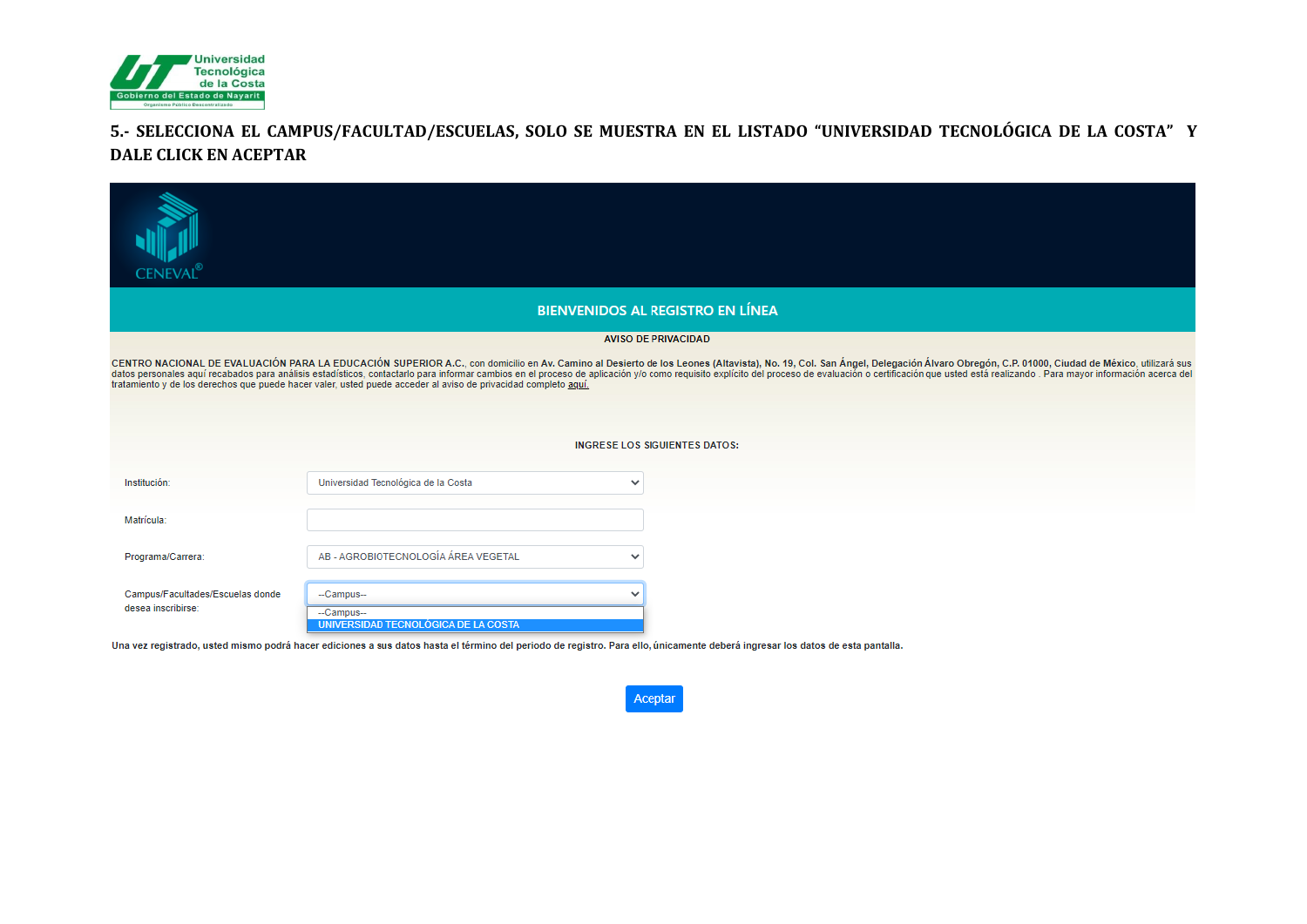

## **5.- SELECCIONA EL CAMPUS/FACULTAD/ESCUELAS, SOLO SE MUESTRA EN EL LISTADO "UNIVERSIDAD TECNOLÓGICA DE LA COSTA" Y DALE CLICK EN ACEPTAR**

| <b>CENEVAL</b> <sup>®</sup>                                                                                                                                                                                                                                                                                                                      |                                                               |                                         |  |  |
|--------------------------------------------------------------------------------------------------------------------------------------------------------------------------------------------------------------------------------------------------------------------------------------------------------------------------------------------------|---------------------------------------------------------------|-----------------------------------------|--|--|
|                                                                                                                                                                                                                                                                                                                                                  |                                                               | <b>BIENVENIDOS AL REGISTRO EN LÍNEA</b> |  |  |
|                                                                                                                                                                                                                                                                                                                                                  |                                                               | <b>AVISO DE PRIVACIDAD</b>              |  |  |
| CENTRO NACIONAL DE EVALUACIÓN PARA LA EDUCACIÓN SUPERIOR A.C., con domicilio en Av. Camino al Desierto de los Leones (Altavista), No. 19, Col. San Ángel, Delegación Álvaro Obregón, C.P. 01000, Ciudad de México, utilizará s<br>tratamiento y de los derechos que puede hacer valer, usted puede acceder al aviso de privacidad completo aquí. |                                                               |                                         |  |  |
|                                                                                                                                                                                                                                                                                                                                                  |                                                               |                                         |  |  |
|                                                                                                                                                                                                                                                                                                                                                  |                                                               |                                         |  |  |
|                                                                                                                                                                                                                                                                                                                                                  | <b>INGRESE LOS SIGUIENTES DATOS:</b>                          |                                         |  |  |
| Institución:                                                                                                                                                                                                                                                                                                                                     | Universidad Tecnológica de la Costa                           | $\checkmark$                            |  |  |
| Matrícula:                                                                                                                                                                                                                                                                                                                                       |                                                               |                                         |  |  |
| Programa/Carrera:                                                                                                                                                                                                                                                                                                                                | AB - AGROBIOTECNOLOGÍA ÁREA VEGETAL                           | $\checkmark$                            |  |  |
| Campus/Facultades/Escuelas donde<br>desea inscribirse:                                                                                                                                                                                                                                                                                           | -Campus-<br>--Campus--<br>UNIVERSIDAD TECNOLÓGICA DE LA COSTA |                                         |  |  |

Una vez registrado, usted mismo podrá hacer ediciones a sus datos hasta el término del periodo de registro. Para ello, únicamente deberá ingresar los datos de esta pantalla.

Aceptar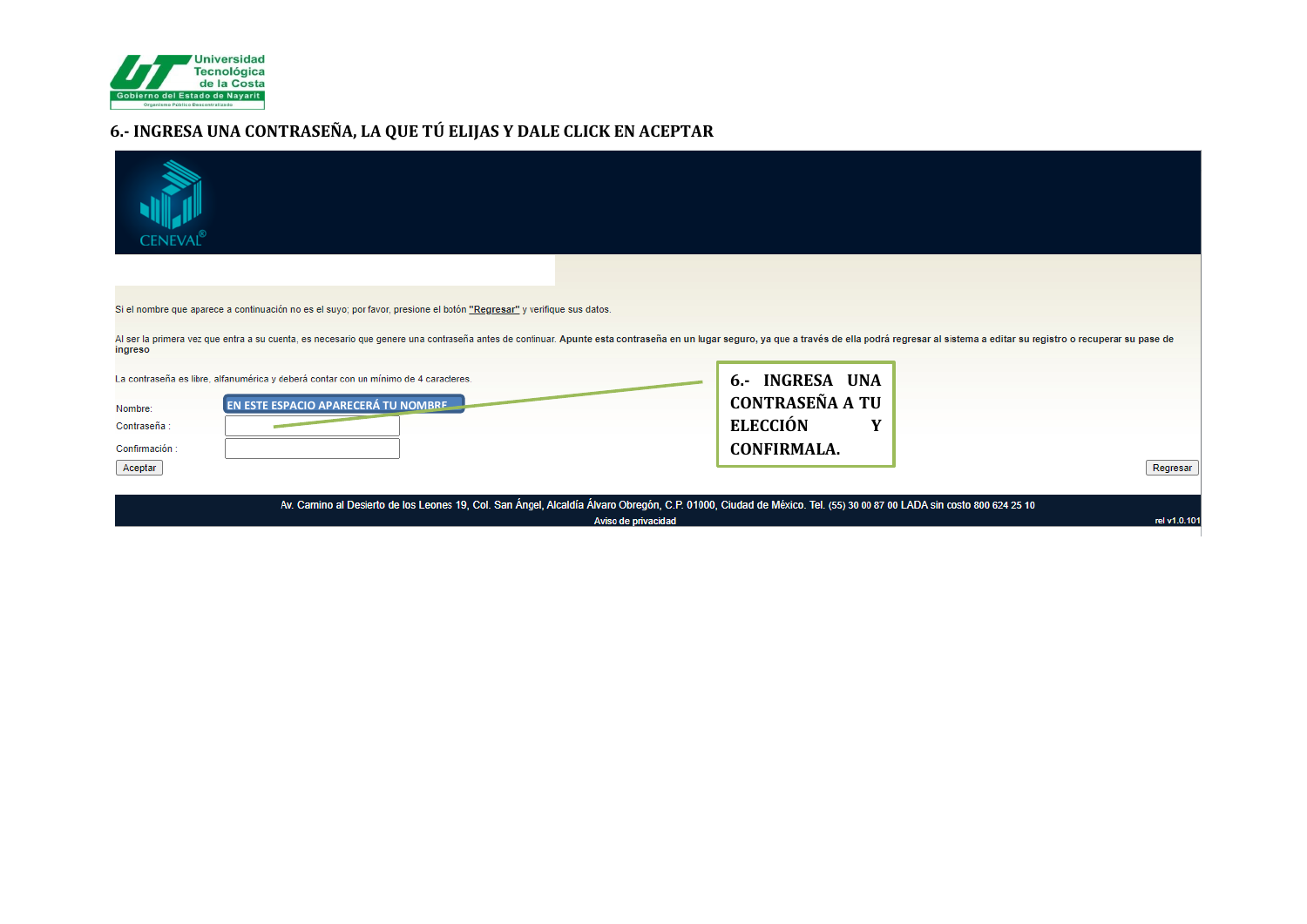

## **6.- INGRESA UNA CONTRASEÑA, LA QUE TÚ ELIJAS Y DALE CLICK EN ACEPTAR**

| ENEVAL                                                                                                                                                                                                                                    |                        |  |
|-------------------------------------------------------------------------------------------------------------------------------------------------------------------------------------------------------------------------------------------|------------------------|--|
|                                                                                                                                                                                                                                           |                        |  |
| Si el nombre que aparece a continuación no es el suyo; por favor, presione el botón "Regresar" y verifique sus datos.                                                                                                                     |                        |  |
| Al ser la primera vez que entra a su cuenta, es necesario que genere una contraseña antes de continuar. Apunte esta contraseña en un lugar seguro, ya que a través de ella podrá regresar al sistema a editar su registro o re<br>ingreso |                        |  |
| La contraseña es libre, alfanumérica y deberá contar con un mínimo de 4 caracteres.                                                                                                                                                       | 6.- INGRESA UNA        |  |
| EN ESTE ESPACIO APARECERÁ TU NOMBRE<br>Nombre:                                                                                                                                                                                            | <b>CONTRASEÑA A TU</b> |  |
| Contraseña :                                                                                                                                                                                                                              | <b>ELECCIÓN</b><br>Y   |  |
| Confirmación:                                                                                                                                                                                                                             | <b>CONFIRMALA.</b>     |  |
| Aceptar                                                                                                                                                                                                                                   | Regresar               |  |
| Av. Camino al Desierto de los Leones 19, Col. San Ángel, Alcaldía Álvaro Obregón, C.P. 01000, Ciudad de México. Tel. (55) 30 00 87 00 LADA sin costo 800 624 25 10<br>rel v1.0.101<br>Aviso de privacidad                                 |                        |  |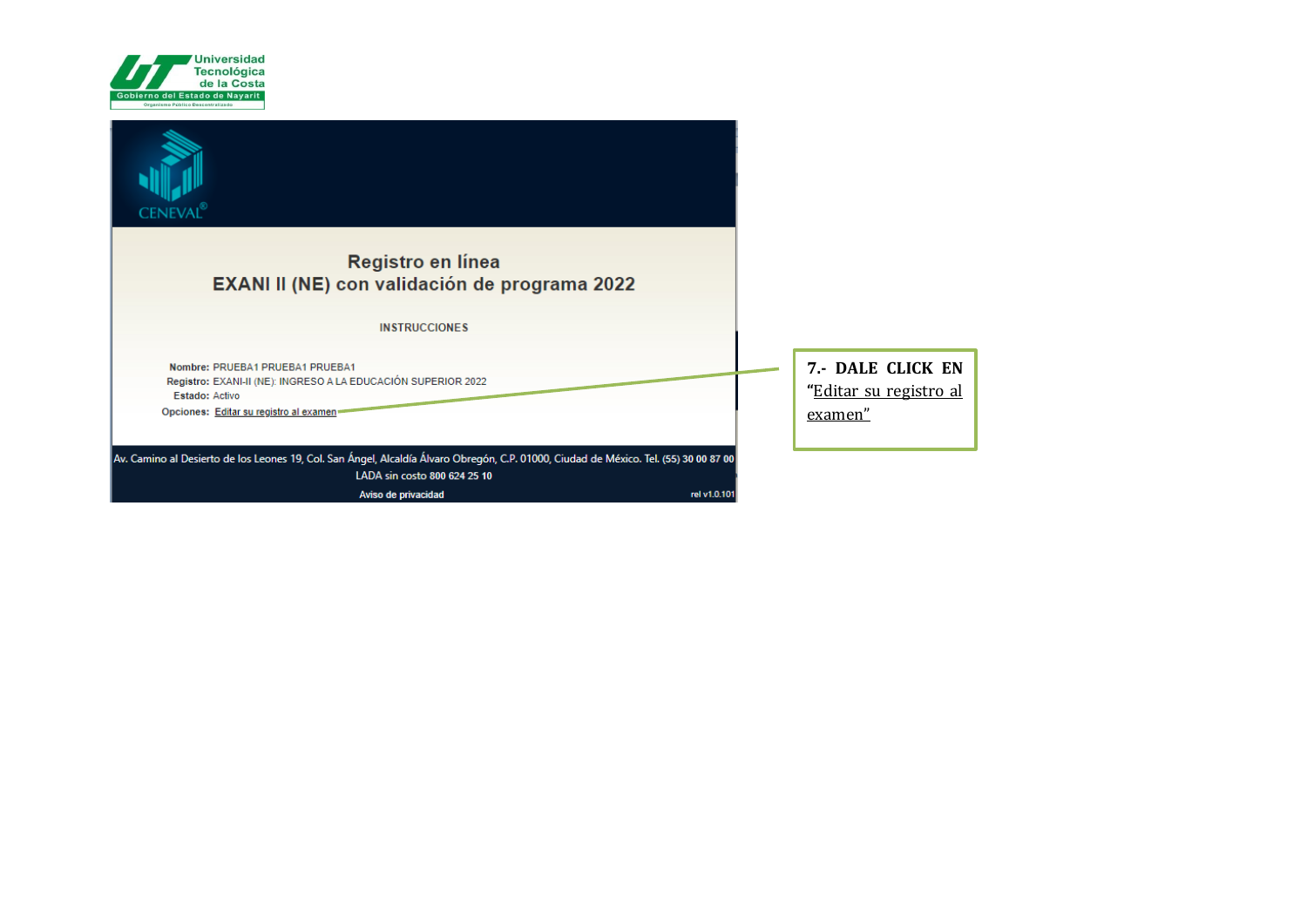

| <b>CENEVAL</b>                                                                                                                        |                                             |
|---------------------------------------------------------------------------------------------------------------------------------------|---------------------------------------------|
| Registro en línea                                                                                                                     |                                             |
| EXANI II (NE) con validación de programa 2022                                                                                         |                                             |
|                                                                                                                                       |                                             |
| <b>INSTRUCCIONES</b>                                                                                                                  |                                             |
| Nombre: PRUEBA1 PRUEBA1 PRUEBA1<br>Registro: EXANI-II (NE): INGRESO A LA EDUCACIÓN SUPERIOR 2022<br>Estado: Activo                    | 7.- DALE CLICK EN<br>"Editar su registro al |
| Opciones: Editar su registro al examen                                                                                                | examen"                                     |
|                                                                                                                                       |                                             |
| Av. Camino al Desierto de los Leones 19, Col. San Ángel, Alcaldía Álvaro Obregón, C.P. 01000, Ciudad de México. Tel. (55) 30 00 87 00 |                                             |
| LADA sin costo 800 624 25 10                                                                                                          |                                             |
| rel v1.0.101<br>Aviso de privacidad                                                                                                   |                                             |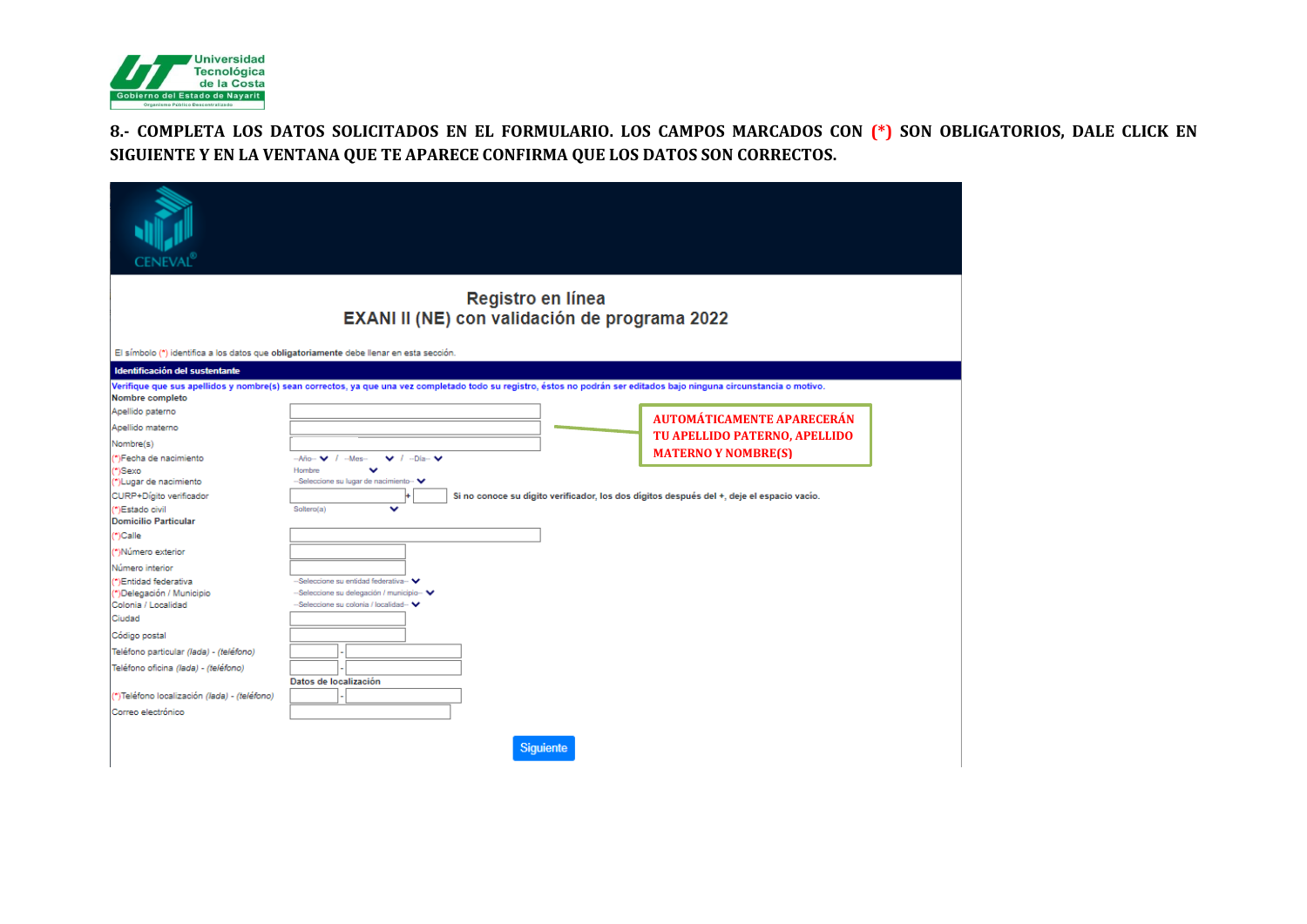

### **8.- COMPLETA LOS DATOS SOLICITADOS EN EL FORMULARIO. LOS CAMPOS MARCADOS CON (\*) SON OBLIGATORIOS, DALE CLICK EN SIGUIENTE Y EN LA VENTANA QUE TE APARECE CONFIRMA QUE LOS DATOS SON CORRECTOS.**

| <b>CENEVAL</b> ®                                    |                                                                                                                                                                       |                                   |
|-----------------------------------------------------|-----------------------------------------------------------------------------------------------------------------------------------------------------------------------|-----------------------------------|
|                                                     | Registro en línea<br>EXANI II (NE) con validación de programa 2022                                                                                                    |                                   |
|                                                     | El símbolo (*) identifica a los datos que obligatoriamente debe llenar en esta sección.                                                                               |                                   |
| Identificación del sustentante                      |                                                                                                                                                                       |                                   |
| Nombre completo                                     | Verifique que sus apellidos y nombre(s) sean correctos, ya que una vez completado todo su registro, éstos no podrán ser editados bajo ninguna circunstancia o motivo. |                                   |
| Apellido paterno                                    |                                                                                                                                                                       |                                   |
| Apellido materno                                    |                                                                                                                                                                       | <b>AUTOMÁTICAMENTE APARECERÁN</b> |
| Nombre(s)                                           |                                                                                                                                                                       | TU APELLIDO PATERNO, APELLIDO     |
| *)Fecha de nacimiento                               | $\vee$ / $-Dia \vee$<br>$-A\bar{n}$ o $ \vee$ / $-Mes-$                                                                                                               | <b>MATERNO Y NOMBRE(S)</b>        |
| *\Sexo                                              | Hombre<br>v                                                                                                                                                           |                                   |
| *)Lugar de nacimiento<br>CURP+Dígito verificador    | -Seleccione su lugar de nacimiento-<br>Si no conoce su dígito verificador, los dos dígitos después del +, deje el espacio vacío.                                      |                                   |
| "Estado civil                                       | v<br>Soltero(a)                                                                                                                                                       |                                   |
| <b>Domicilio Particular</b>                         |                                                                                                                                                                       |                                   |
| ")Calle                                             |                                                                                                                                                                       |                                   |
| (*)Número exterior                                  |                                                                                                                                                                       |                                   |
| Número interior                                     |                                                                                                                                                                       |                                   |
| *)Entidad federativa                                | -Seleccione su entidad federativa-                                                                                                                                    |                                   |
| *)Delegación / Municipio<br>Colonia / Localidad     | -Seleccione su delegación / municipio-<br>-Seleccione su colonia / localidad-                                                                                         |                                   |
| Ciudad                                              |                                                                                                                                                                       |                                   |
| Código postal                                       |                                                                                                                                                                       |                                   |
| Teléfono particular (lada) - (teléfono)             |                                                                                                                                                                       |                                   |
| Teléfono oficina (lada) - (teléfono)                |                                                                                                                                                                       |                                   |
|                                                     | Datos de localización                                                                                                                                                 |                                   |
| (*)Teléfono localización <i>(lada) - (teléfono)</i> |                                                                                                                                                                       |                                   |
| Correo electrónico                                  |                                                                                                                                                                       |                                   |
|                                                     |                                                                                                                                                                       |                                   |
|                                                     | <b>Siquiente</b>                                                                                                                                                      |                                   |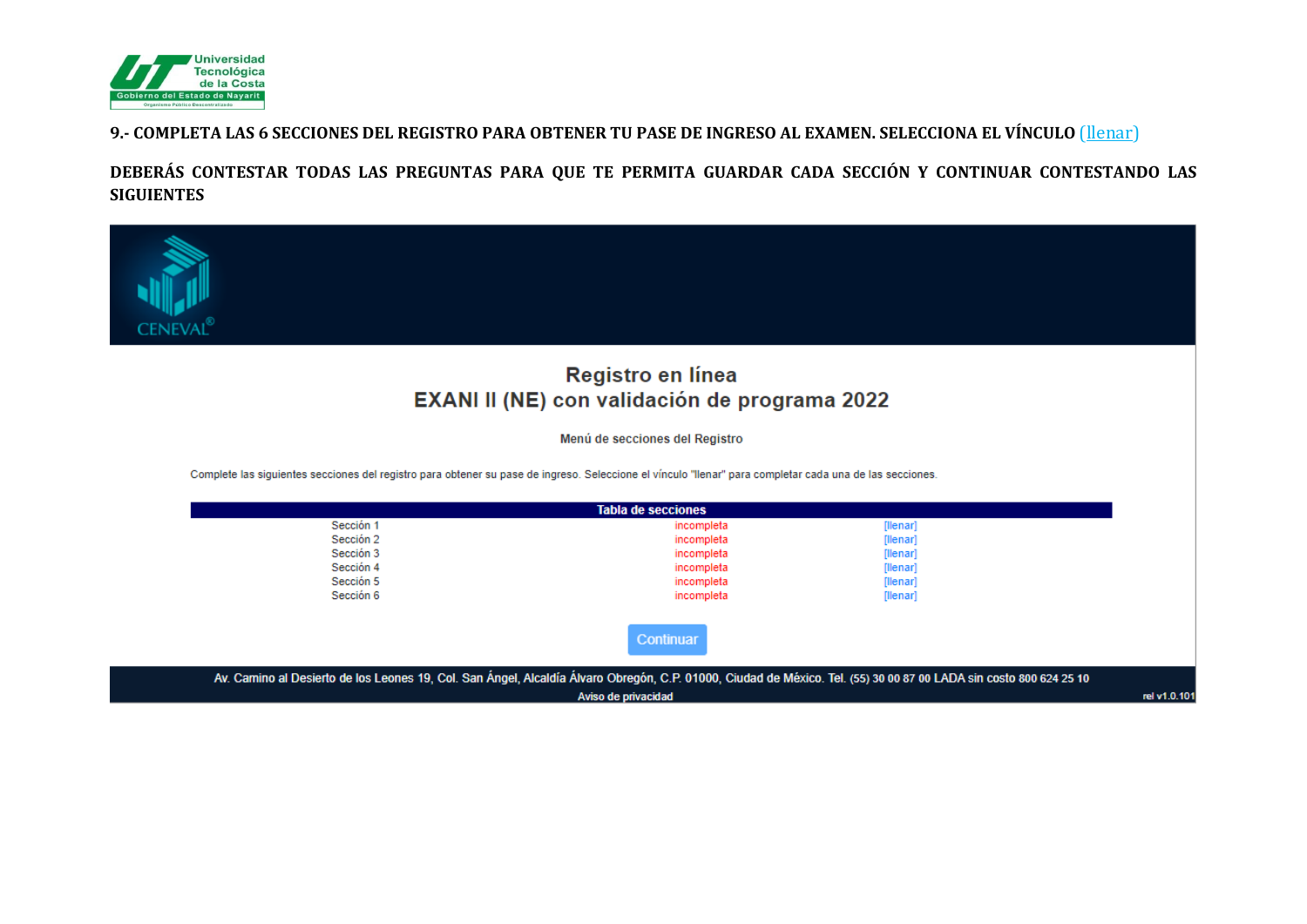

#### 9.- COMPLETA LAS 6 SECCIONES DEL REGISTRO PARA OBTENER TU PASE DE INGRESO AL EXAMEN. SELECCIONA EL VÍNCULO (llenar)

DEBERÁS CONTESTAR TODAS LAS PREGUNTAS PARA QUE TE PERMITA GUARDAR CADA SECCIÓN Y CONTINUAR CONTESTANDO LAS **SIGUIENTES** 



Aviso de privacidad

rel v1.0.101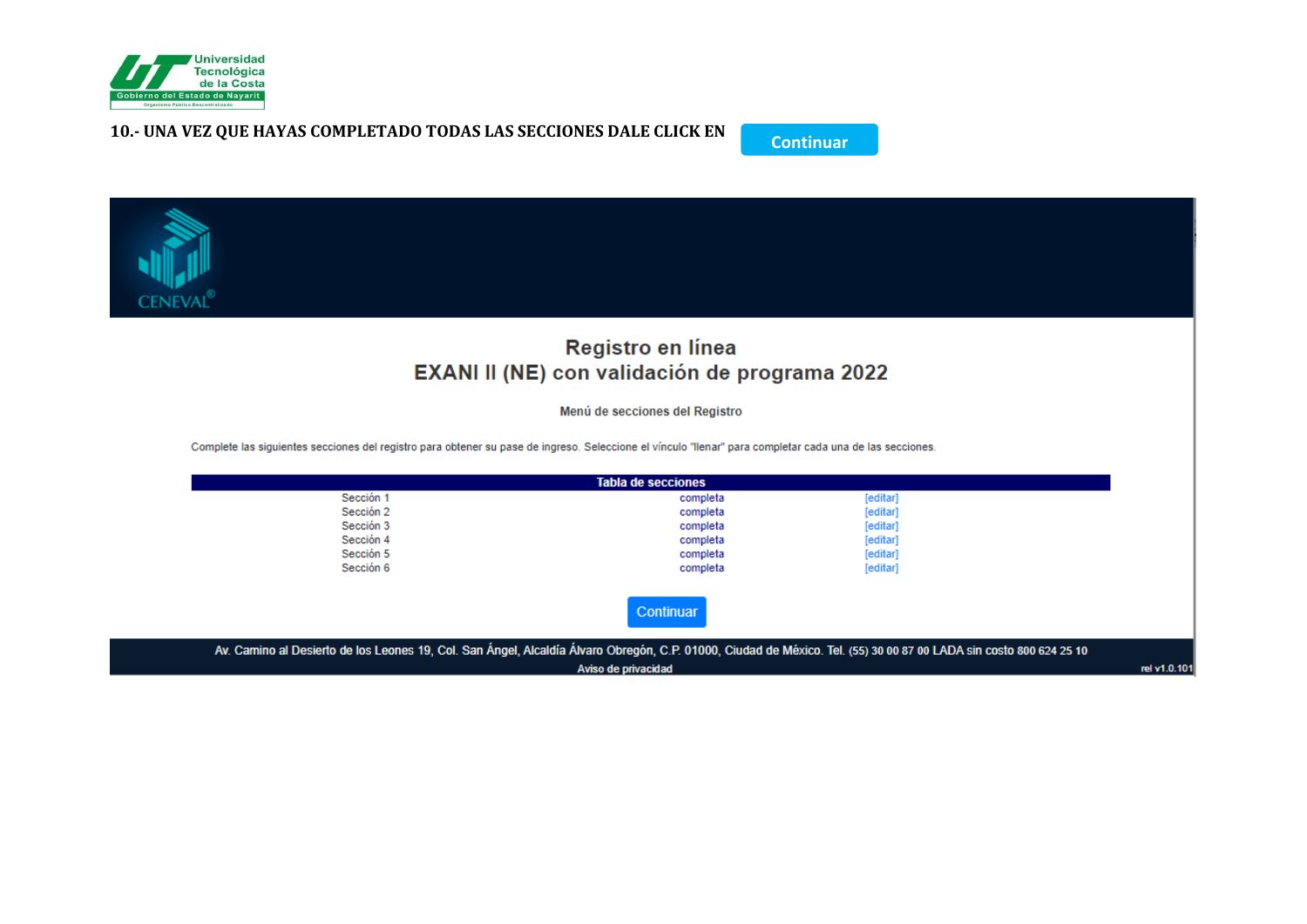

#### 10.- UNA VEZ QUE HAYAS COMPLETADO TODAS LAS SECCIONES DALE CLICK EN





Aviso de privacidad

rel v1.0.101